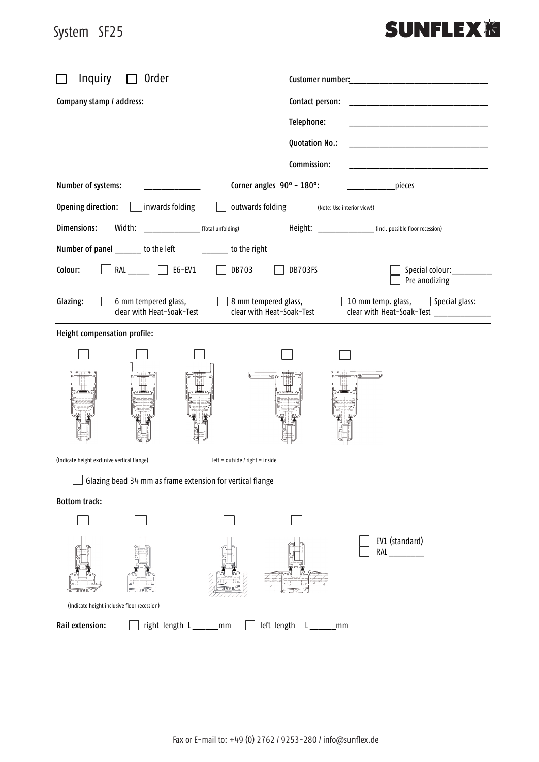## System SF25 System SF25

## **SUNFLEX<sub>泡</sub>**

| Inquiry<br>Order                                                                             |                                                                                             |  |  |
|----------------------------------------------------------------------------------------------|---------------------------------------------------------------------------------------------|--|--|
| Company stamp / address:                                                                     | Contact person:                                                                             |  |  |
|                                                                                              | Telephone:                                                                                  |  |  |
|                                                                                              | Quotation No.:                                                                              |  |  |
|                                                                                              | Commission:                                                                                 |  |  |
| Number of systems:                                                                           | Corner angles 90° - 180°:<br>pieces                                                         |  |  |
| Opening direction:<br>inwards folding<br>outwards folding                                    | (Note: Use interior view!)                                                                  |  |  |
| (Total unfolding)<br>Width:<br>Dimensions:                                                   | Height:<br>__________________(incl. possible floor recession)                               |  |  |
| Number of panel ______ to the left<br>_______ to the right                                   |                                                                                             |  |  |
| RAL $\Box$ E6-EV1<br>Colour:<br>DB703                                                        | DB703FS<br>Special colour:___________<br>Pre anodizing                                      |  |  |
| 6 mm tempered glass,<br>$\Box$ 8 mm tempered glass,<br>Glazing:<br>clear with Heat-Soak-Test | 10 mm temp. glass, Special glass:<br>clear with Heat-Soak-Test<br>clear with Heat-Soak-Test |  |  |
| Height compensation profile:                                                                 |                                                                                             |  |  |
|                                                                                              |                                                                                             |  |  |
|                                                                                              |                                                                                             |  |  |
| (Indicate height exclusive vertical flange)<br>$left = outside / right = inside$             |                                                                                             |  |  |
| $\overline{\phantom{0}}$<br>Glazing bead 34 mm as frame extension for vertical flange        |                                                                                             |  |  |
| <b>Bottom track:</b>                                                                         |                                                                                             |  |  |
|                                                                                              |                                                                                             |  |  |
|                                                                                              | EV1 (standard)<br>RAL                                                                       |  |  |
| (Indicate height inclusive floor recession)                                                  |                                                                                             |  |  |
| Rail extension:<br>right length L_______mm                                                   | left length L_____<br>mm                                                                    |  |  |